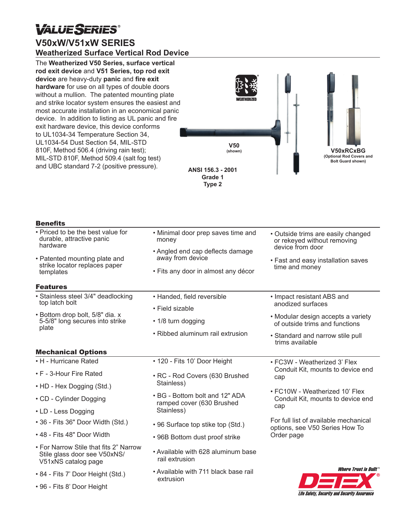## **VALUESERIES®**

## **V50xW/V51xW SERIES Weatherized Surface Vertical Rod Device**

The **Weatherized V50 Series, surface vertical rod exit device** and **V51 Series, top rod exit device** are heavy-duty **panic** and **fire exit hardware** for use on all types of double doors without a mullion. The patented mounting plate and strike locator system ensures the easiest and most accurate installation in an economical panic device. In addition to listing as UL panic and fire exit hardware device, this device conforms to UL1034-34 Temperature Section 34, UL1034-54 Dust Section 54, MIL-STD 810F, Method 506.4 (driving rain test); MIL-STD 810F, Method 509.4 (salt fog test) and UBC standard 7-2 (positive pressure).



**ANSI 156.3 - 2001 Grade 1 Type 2**

| <b>Benefits</b>                                                                                                                                           |                                                                                                                                            |                                                                                                                                               |
|-----------------------------------------------------------------------------------------------------------------------------------------------------------|--------------------------------------------------------------------------------------------------------------------------------------------|-----------------------------------------------------------------------------------------------------------------------------------------------|
| • Priced to be the best value for<br>durable, attractive panic<br>hardware<br>• Patented mounting plate and<br>strike locator replaces paper<br>templates | • Minimal door prep saves time and<br>money<br>• Angled end cap deflects damage<br>away from device<br>· Fits any door in almost any décor | • Outside trims are easily changed<br>or rekeyed without removing<br>device from door<br>• Fast and easy installation saves<br>time and money |
| <b>Features</b>                                                                                                                                           |                                                                                                                                            |                                                                                                                                               |
| • Stainless steel 3/4" deadlocking<br>top latch bolt<br>· Bottom drop bolt, 5/8" dia. x<br>5-5/8" long secures into strike<br>plate                       | · Handed, field reversible<br>• Field sizable                                                                                              | • Impact resistant ABS and<br>anodized surfaces<br>• Modular design accepts a variety                                                         |
|                                                                                                                                                           | • 1/8 turn dogging<br>• Ribbed aluminum rail extrusion                                                                                     | of outside trims and functions<br>• Standard and narrow stile pull<br>trims available                                                         |
| <b>Mechanical Options</b>                                                                                                                                 |                                                                                                                                            |                                                                                                                                               |
| • H - Hurricane Rated<br>• F - 3-Hour Fire Rated                                                                                                          | • 120 - Fits 10' Door Height<br>· RC - Rod Covers (630 Brushed<br>Stainless)                                                               | • FC3W - Weatherized 3' Flex<br>Conduit Kit, mounts to device end<br>cap                                                                      |
| • HD - Hex Dogging (Std.)<br>• CD - Cylinder Dogging<br>• LD - Less Dogging                                                                               | • BG - Bottom bolt and 12" ADA<br>ramped cover (630 Brushed<br>Stainless)                                                                  | • FC10W - Weatherized 10' Flex<br>Conduit Kit, mounts to device end<br>cap                                                                    |
| • 36 - Fits 36" Door Width (Std.)                                                                                                                         | • 96 Surface top stike top (Std.)                                                                                                          | For full list of available mechanical<br>options, see V50 Series How To<br>Order page                                                         |
| • 48 - Fits 48" Door Width                                                                                                                                | • 96B Bottom dust proof strike                                                                                                             |                                                                                                                                               |
| • For Narrow Stile that fits 2" Narrow<br>Stile glass door see V50xNS/<br>V51xNS catalog page                                                             | • Available with 628 aluminum base<br>rail extrusion                                                                                       |                                                                                                                                               |
| • 84 - Fits 7' Door Height (Std.)<br>• 96 - Fits 8' Door Height                                                                                           | • Available with 711 black base rail<br>extrusion                                                                                          | <i><b>Where Trust is Built</b></i>                                                                                                            |